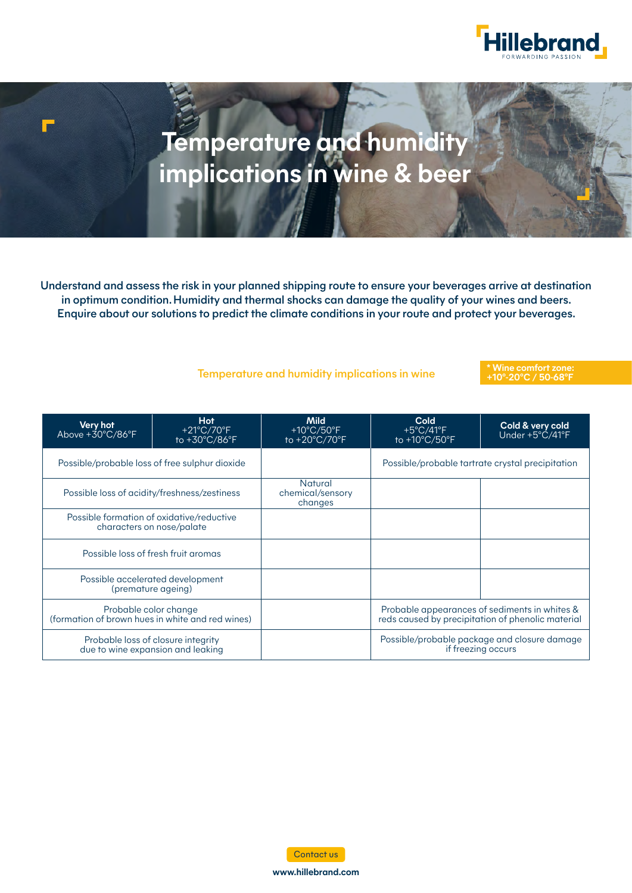

# **Temperature and humidity implications in wine & beer**

Understand and assess the risk in your planned shipping route to ensure your beverages arrive at destination in optimum condition. Humidity and thermal shocks can damage the quality of your wines and beers. Enquire about our solutions to predict the climate conditions in your route and protect your beverages.

### Temperature and humidity implications in wine

#### **\* Wine comfort zone: +10°-20°C / 50-68°F**

| Very hot<br>Above $+30^{\circ}$ C/86 $^{\circ}$ F                         | <b>Hot</b><br>$+21^{\circ}$ C/70 $^{\circ}$ F<br>to +30°C/86°F | <b>Mild</b><br>+10 $\degree$ C/50 $\degree$ F<br>to $+20^{\circ}$ C/70 $^{\circ}$ F | Cold<br>$+5^{\circ}$ C/41 $^{\circ}$ F<br>to $+10^{\circ}$ C/50 $^{\circ}$ F                       | Cold & very cold<br>Under $+5^{\circ}\text{C}/41^{\circ}\text{F}$ |
|---------------------------------------------------------------------------|----------------------------------------------------------------|-------------------------------------------------------------------------------------|----------------------------------------------------------------------------------------------------|-------------------------------------------------------------------|
| Possible/probable loss of free sulphur dioxide                            |                                                                |                                                                                     | Possible/probable tartrate crystal precipitation                                                   |                                                                   |
| Possible loss of acidity/freshness/zestiness                              |                                                                | <b>Natural</b><br>chemical/sensory<br>changes                                       |                                                                                                    |                                                                   |
| Possible formation of oxidative/reductive<br>characters on nose/palate    |                                                                |                                                                                     |                                                                                                    |                                                                   |
| Possible loss of fresh fruit aromas                                       |                                                                |                                                                                     |                                                                                                    |                                                                   |
| Possible accelerated development<br>(premature ageing)                    |                                                                |                                                                                     |                                                                                                    |                                                                   |
| Probable color change<br>(formation of brown hues in white and red wines) |                                                                |                                                                                     | Probable appearances of sediments in whites &<br>reds caused by precipitation of phenolic material |                                                                   |
| Probable loss of closure integrity<br>due to wine expansion and leaking   |                                                                |                                                                                     | Possible/probable package and closure damage<br>if freezing occurs                                 |                                                                   |